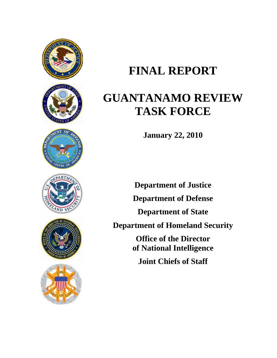

# **FINAL REPORT**

# **GUANTANAMO REVIEW TASK FORCE**

**January 22, 2010** 

**Department of Justice Department of Defense Department of State Department of Homeland Security Office of the Director of National Intelligence Joint Chiefs of Staff**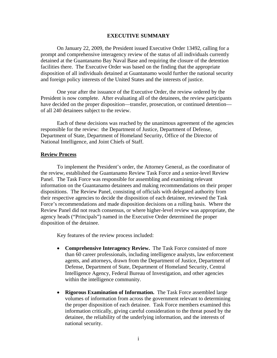#### **EXECUTIVE SUMMARY**

On January 22, 2009, the President issued Executive Order 13492, calling for a prompt and comprehensive interagency review of the status of all individuals currently detained at the Guantanamo Bay Naval Base and requiring the closure of the detention facilities there. The Executive Order was based on the finding that the appropriate disposition of all individuals detained at Guantanamo would further the national security and foreign policy interests of the United States and the interests of justice.

One year after the issuance of the Executive Order, the review ordered by the President is now complete. After evaluating all of the detainees, the review participants have decided on the proper disposition—transfer, prosecution, or continued detention of all 240 detainees subject to the review.

 National Intelligence, and Joint Chiefs of Staff. Each of these decisions was reached by the unanimous agreement of the agencies responsible for the review: the Department of Justice, Department of Defense, Department of State, Department of Homeland Security, Office of the Director of

#### **Review Process**

To implement the President's order, the Attorney General, as the coordinator of the review, established the Guantanamo Review Task Force and a senior-level Review Panel. The Task Force was responsible for assembling and examining relevant information on the Guantanamo detainees and making recommendations on their proper dispositions. The Review Panel, consisting of officials with delegated authority from their respective agencies to decide the disposition of each detainee, reviewed the Task Force's recommendations and made disposition decisions on a rolling basis. Where the Review Panel did not reach consensus, or where higher-level review was appropriate, the agency heads ("Principals") named in the Executive Order determined the proper disposition of the detainee.

Key features of the review process included:

- **Comprehensive Interagency Review.** The Task Force consisted of more than 60 career professionals, including intelligence analysts, law enforcement agents, and attorneys, drawn from the Department of Justice, Department of Defense, Department of State, Department of Homeland Security, Central Intelligence Agency, Federal Bureau of Investigation, and other agencies within the intelligence community.
- **Rigorous Examination of Information.** The Task Force assembled large volumes of information from across the government relevant to determining the proper disposition of each detainee. Task Force members examined this information critically, giving careful consideration to the threat posed by the detainee, the reliability of the underlying information, and the interests of national security.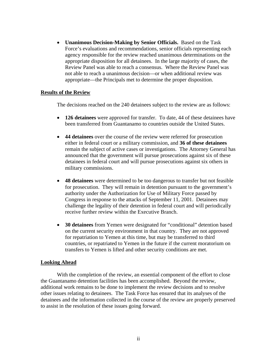• **Unanimous Decision-Making by Senior Officials.** Based on the Task Force's evaluations and recommendations, senior officials representing each agency responsible for the review reached unanimous determinations on the appropriate disposition for all detainees. In the large majority of cases, the Review Panel was able to reach a consensus. Where the Review Panel was not able to reach a unanimous decision—or when additional review was appropriate—the Principals met to determine the proper disposition.

## **Results of the Review**

The decisions reached on the 240 detainees subject to the review are as follows:

- **126 detainees** were approved for transfer. To date, 44 of these detainees have been transferred from Guantanamo to countries outside the United States.
- • **44 detainees** over the course of the review were referred for prosecution either in federal court or a military commission, and **36 of these detainees**  remain the subject of active cases or investigations. The Attorney General has announced that the government will pursue prosecutions against six of these detainees in federal court and will pursue prosecutions against six others in military commissions.
- **48 detainees** were determined to be too dangerous to transfer but not feasible for prosecution. They will remain in detention pursuant to the government's authority under the Authorization for Use of Military Force passed by Congress in response to the attacks of September 11, 2001. Detainees may challenge the legality of their detention in federal court and will periodically receive further review within the Executive Branch.
- **30 detainees** from Yemen were designated for "conditional" detention based on the current security environment in that country. They are not approved for repatriation to Yemen at this time, but may be transferred to third countries, or repatriated to Yemen in the future if the current moratorium on transfers to Yemen is lifted and other security conditions are met.

#### **Looking Ahead**

With the completion of the review, an essential component of the effort to close the Guantanamo detention facilities has been accomplished. Beyond the review, additional work remains to be done to implement the review decisions and to resolve other issues relating to detainees. The Task Force has ensured that its analyses of the detainees and the information collected in the course of the review are properly preserved to assist in the resolution of these issues going forward.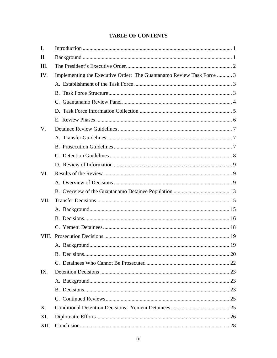# **TABLE OF CONTENTS**

| $\mathbf{I}$ . |                                                                       |  |
|----------------|-----------------------------------------------------------------------|--|
| II.            |                                                                       |  |
| III.           |                                                                       |  |
| IV.            | Implementing the Executive Order: The Guantanamo Review Task Force  3 |  |
|                |                                                                       |  |
|                |                                                                       |  |
|                |                                                                       |  |
|                |                                                                       |  |
|                |                                                                       |  |
| $V_{\cdot}$    |                                                                       |  |
|                |                                                                       |  |
|                |                                                                       |  |
|                |                                                                       |  |
|                |                                                                       |  |
| VI.            |                                                                       |  |
|                |                                                                       |  |
|                |                                                                       |  |
| VII.           |                                                                       |  |
|                |                                                                       |  |
|                |                                                                       |  |
|                |                                                                       |  |
|                |                                                                       |  |
|                |                                                                       |  |
|                |                                                                       |  |
|                |                                                                       |  |
| IX.            |                                                                       |  |
|                |                                                                       |  |
|                |                                                                       |  |
|                |                                                                       |  |
| X.             |                                                                       |  |
| XI.            |                                                                       |  |
| XII.           |                                                                       |  |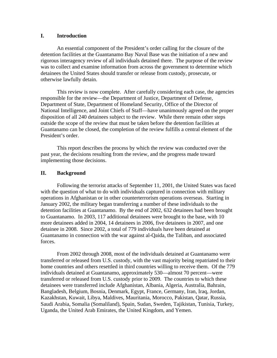## **I. Introduction**

An essential component of the President's order calling for the closure of the detention facilities at the Guantanamo Bay Naval Base was the initiation of a new and rigorous interagency review of all individuals detained there. The purpose of the review was to collect and examine information from across the government to determine which detainees the United States should transfer or release from custody, prosecute, or otherwise lawfully detain.

This review is now complete. After carefully considering each case, the agencies responsible for the review—the Department of Justice, Department of Defense, Department of State, Department of Homeland Security, Office of the Director of National Intelligence, and Joint Chiefs of Staff—have unanimously agreed on the proper disposition of all 240 detainees subject to the review. While there remain other steps outside the scope of the review that must be taken before the detention facilities at Guantanamo can be closed, the completion of the review fulfills a central element of the President's order.

This report describes the process by which the review was conducted over the past year, the decisions resulting from the review, and the progress made toward implementing those decisions.

## **II. Background**

Following the terrorist attacks of September 11, 2001, the United States was faced with the question of what to do with individuals captured in connection with military operations in Afghanistan or in other counterterrorism operations overseas. Starting in January 2002, the military began transferring a number of these individuals to the detention facilities at Guantanamo. By the end of 2002, 632 detainees had been brought to Guantanamo. In 2003, 117 additional detainees were brought to the base, with 10 more detainees added in 2004, 14 detainees in 2006, five detainees in 2007, and one detainee in 2008. Since 2002, a total of 779 individuals have been detained at Guantanamo in connection with the war against al-Qaida, the Taliban, and associated forces.

From 2002 through 2008, most of the individuals detained at Guantanamo were transferred or released from U.S. custody, with the vast majority being repatriated to their home countries and others resettled in third countries willing to receive them. Of the 779 individuals detained at Guantanamo, approximately 530—almost 70 percent—were transferred or released from U.S. custody prior to 2009. The countries to which these detainees were transferred include Afghanistan, Albania, Algeria, Australia, Bahrain, Bangladesh, Belgium, Bosnia, Denmark, Egypt, France, Germany, Iran, Iraq, Jordan, Kazakhstan, Kuwait, Libya, Maldives, Mauritania, Morocco, Pakistan, Qatar, Russia, Saudi Arabia, Somalia (Somaliland), Spain, Sudan, Sweden, Tajikistan, Tunisia, Turkey, Uganda, the United Arab Emirates, the United Kingdom, and Yemen.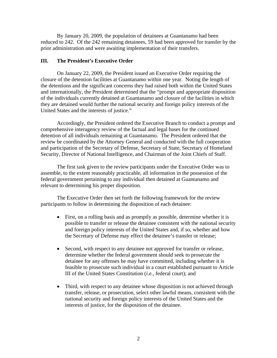<span id="page-5-0"></span>By January 20, 2009, the population of detainees at Guantanamo had been reduced to 242. Of the 242 remaining detainees, 59 had been approved for transfer by the prior administration and were awaiting implementation of their transfers.

## **III. The President's Executive Order**

On January 22, 2009, the President issued an Executive Order requiring the closure of the detention facilities at Guantanamo within one year. Noting the length of the detentions and the significant concerns they had raised both within the United States and internationally, the President determined that the "prompt and appropriate disposition of the individuals currently detained at Guantanamo and closure of the facilities in which they are detained would further the national security and foreign policy interests of the United States and the interests of justice."

Accordingly, the President ordered the Executive Branch to conduct a prompt and comprehensive interagency review of the factual and legal bases for the continued detention of all individuals remaining at Guantanamo. The President ordered that the review be coordinated by the Attorney General and conducted with the full cooperation and participation of the Secretary of Defense, Secretary of State, Secretary of Homeland Security, Director of National Intelligence, and Chairman of the Joint Chiefs of Staff.

The first task given to the review participants under the Executive Order was to assemble, to the extent reasonably practicable, all information in the possession of the federal government pertaining to any individual then detained at Guantanamo and relevant to determining his proper disposition.

The Executive Order then set forth the following framework for the review participants to follow in determining the disposition of each detainee:

- First, on a rolling basis and as promptly as possible, determine whether it is possible to transfer or release the detainee consistent with the national security and foreign policy interests of the United States and, if so, whether and how the Secretary of Defense may effect the detainee's transfer or release;
- Second, with respect to any detainee not approved for transfer or release, determine whether the federal government should seek to prosecute the detainee for any offenses he may have committed, including whether it is feasible to prosecute such individual in a court established pursuant to Article III of the United States Constitution (*i.e.,* federal court); and
- Third, with respect to any detainee whose disposition is not achieved through transfer, release, or prosecution, select other lawful means, consistent with the national security and foreign policy interests of the United States and the interests of justice, for the disposition of the detainee.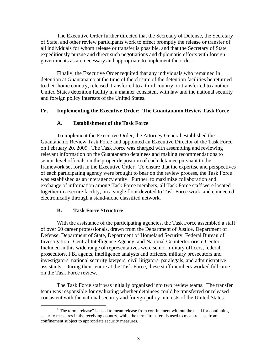<span id="page-6-0"></span>The Executive Order further directed that the Secretary of Defense, the Secretary of State, and other review participants work to effect promptly the release or transfer of all individuals for whom release or transfer is possible, and that the Secretary of State expeditiously pursue and direct such negotiations and diplomatic efforts with foreign governments as are necessary and appropriate to implement the order.

Finally, the Executive Order required that any individuals who remained in detention at Guantanamo at the time of the closure of the detention facilities be returned to their home country, released, transferred to a third country, or transferred to another United States detention facility in a manner consistent with law and the national security and foreign policy interests of the United States.

## **IV. Implementing the Executive Order: The Guantanamo Review Task Force**

#### **A. Establishment of the Task Force**

To implement the Executive Order, the Attorney General established the Guantanamo Review Task Force and appointed an Executive Director of the Task Force on February 20, 2009. The Task Force was charged with assembling and reviewing relevant information on the Guantanamo detainees and making recommendations to senior-level officials on the proper disposition of each detainee pursuant to the framework set forth in the Executive Order. To ensure that the expertise and perspectives of each participating agency were brought to bear on the review process, the Task Force was established as an interagency entity. Further, to maximize collaboration and exchange of information among Task Force members, all Task Force staff were located together in a secure facility, on a single floor devoted to Task Force work, and connected electronically through a stand-alone classified network.

#### **B. Task Force Structure**

<u>.</u>

With the assistance of the participating agencies, the Task Force assembled a staff of over 60 career professionals, drawn from the Department of Justice, Department of Defense, Department of State, Department of Homeland Security, Federal Bureau of Investigation , Central Intelligence Agency, and National Counterterrorism Center. Included in this wide range of representatives were senior military officers, federal prosecutors, FBI agents, intelligence analysts and officers, military prosecutors and investigators, national security lawyers, civil litigators, paralegals, and administrative assistants. During their tenure at the Task Force, these staff members worked full-time on the Task Force review.

consistent with the national security and foreign policy interests of the United States.<sup>1</sup> The Task Force staff was initially organized into two review teams. The transfer team was responsible for evaluating whether detainees could be transferred or released

 $<sup>1</sup>$  The term "release" is used to mean release from confinement without the need for continuing</sup> security measures in the receiving country, while the term "transfer" is used to mean release from confinement subject to appropriate security measures.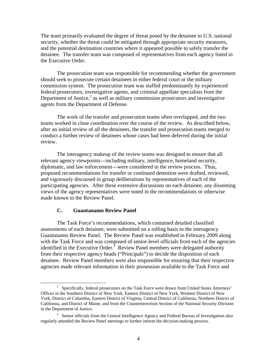<span id="page-7-0"></span>The team primarily evaluated the degree of threat posed by the detainee to U.S. national security, whether the threat could be mitigated through appropriate security measures, and the potential destination countries where it appeared possible to safely transfer the detainee. The transfer team was composed of representatives from each agency listed in the Executive Order.

The prosecution team was responsible for recommending whether the government should seek to prosecute certain detainees in either federal court or the military commission system. The prosecution team was staffed predominantly by experienced federal prosecutors, investigative agents, and criminal appellate specialists from the Department of Justice, $2$  as well as military commission prosecutors and investigative agents from the Department of Defense.

The work of the transfer and prosecution teams often overlapped, and the two teams worked in close coordination over the course of the review. As described below, after an initial review of all the detainees, the transfer and prosecution teams merged to conduct a further review of detainees whose cases had been deferred during the initial review.

The interagency makeup of the review teams was designed to ensure that all relevant agency viewpoints—including military, intelligence, homeland security, diplomatic, and law enforcement—were considered in the review process. Thus, proposed recommendations for transfer or continued detention were drafted, reviewed, and vigorously discussed in group deliberations by representatives of each of the participating agencies. After these extensive discussions on each detainee, any dissenting views of the agency representatives were noted in the recommendations or otherwise made known to the Review Panel.

## **C. Guantanamo Review Panel**

 $\overline{a}$ 

The Task Force's recommendations, which contained detailed classified assessments of each detainee, were submitted on a rolling basis to the interagency Guantanamo Review Panel. The Review Panel was established in February 2009 along with the Task Force and was composed of senior-level officials from each of the agencies identified in the Executive Order.<sup>3</sup> Review Panel members were delegated authority from their respective agency heads ("Principals") to decide the disposition of each detainee. Review Panel members were also responsible for ensuring that their respective agencies made relevant information in their possession available to the Task Force and

 York, District of Columbia, Eastern District of Virginia, Central District of California, Northern District of <sup>2</sup> Specifically, federal prosecutors on the Task Force were drawn from United States Attorneys' Offices in the Southern District of New York, Eastern District of New York, Western District of New California, and District of Maine, and from the Counterterrorism Section of the National Security Division in the Department of Justice.

 regularly attended the Review Panel meetings to further inform the decision-making process. 3 Senior officials from the Central Intelligence Agency and Federal Bureau of Investigation also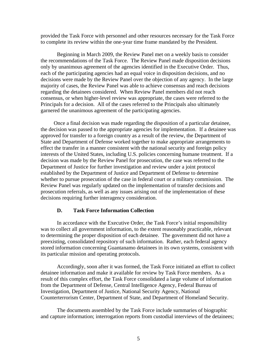<span id="page-8-0"></span>provided the Task Force with personnel and other resources necessary for the Task Force to complete its review within the one-year time frame mandated by the President.

Beginning in March 2009, the Review Panel met on a weekly basis to consider the recommendations of the Task Force. The Review Panel made disposition decisions only by unanimous agreement of the agencies identified in the Executive Order. Thus, each of the participating agencies had an equal voice in disposition decisions, and no decisions were made by the Review Panel over the objection of any agency. In the large majority of cases, the Review Panel was able to achieve consensus and reach decisions regarding the detainees considered. When Review Panel members did not reach consensus, or when higher-level review was appropriate, the cases were referred to the Principals for a decision. All of the cases referred to the Principals also ultimately garnered the unanimous agreement of the participating agencies.

Once a final decision was made regarding the disposition of a particular detainee, the decision was passed to the appropriate agencies for implementation. If a detainee was approved for transfer to a foreign country as a result of the review, the Department of State and Department of Defense worked together to make appropriate arrangements to effect the transfer in a manner consistent with the national security and foreign policy interests of the United States, including U.S. policies concerning humane treatment. If a decision was made by the Review Panel for prosecution, the case was referred to the Department of Justice for further investigation and review under a joint protocol established by the Department of Justice and Department of Defense to determine whether to pursue prosecution of the case in federal court or a military commission. The Review Panel was regularly updated on the implementation of transfer decisions and prosecution referrals, as well as any issues arising out of the implementation of these decisions requiring further interagency consideration.

#### **D. Task Force Information Collection**

In accordance with the Executive Order, the Task Force's initial responsibility was to collect all government information, to the extent reasonably practicable, relevant to determining the proper disposition of each detainee. The government did not have a preexisting, consolidated repository of such information. Rather, each federal agency stored information concerning Guantanamo detainees in its own systems, consistent with its particular mission and operating protocols.

Accordingly, soon after it was formed, the Task Force initiated an effort to collect detainee information and make it available for review by Task Force members. As a result of this complex effort, the Task Force consolidated a large volume of information from the Department of Defense, Central Intelligence Agency, Federal Bureau of Investigation, Department of Justice, National Security Agency, National Counterterrorism Center, Department of State, and Department of Homeland Security.

The documents assembled by the Task Force include summaries of biographic and capture information; interrogation reports from custodial interviews of the detainees;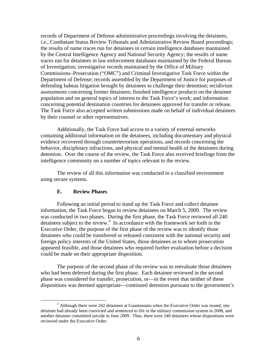<span id="page-9-0"></span>records of Department of Defense administrative proceedings involving the detainees, *i.e.*, Combatant Status Review Tribunals and Administrative Review Board proceedings; the results of name traces run for detainees in certain intelligence databases maintained by the Central Intelligence Agency and National Security Agency; the results of name traces run for detainees in law enforcement databases maintained by the Federal Bureau of Investigation; investigative records maintained by the Office of Military Commissions–Prosecution ("OMC") and Criminal Investigative Task Force within the Department of Defense; records assembled by the Department of Justice for purposes of defending habeas litigation brought by detainees to challenge their detention; recidivism assessments concerning former detainees; finished intelligence products on the detainee population and on general topics of interest to the Task Force's work; and information concerning potential destination countries for detainees approved for transfer or release. The Task Force also accepted written submissions made on behalf of individual detainees by their counsel or other representatives.

Additionally, the Task Force had access to a variety of external networks containing additional information on the detainees, including documentary and physical evidence recovered through counterterrorism operations, and records concerning the behavior, disciplinary infractions, and physical and mental health of the detainees during detention. Over the course of the review, the Task Force also received briefings from the intelligence community on a number of topics relevant to the review.

The review of all this information was conducted in a classified environment using secure systems.

#### **E. Review Phases**

1

Following an initial period to stand up the Task Force and collect detainee information, the Task Force began to review detainees on March 5, 2009. The review was conducted in two phases. During the first phase, the Task Force reviewed all 240 detainees subject to the review.<sup>4</sup> In accordance with the framework set forth in the Executive Order, the purpose of the first phase of the review was to identify those detainees who could be transferred or released consistent with the national security and foreign policy interests of the United States, those detainees as to whom prosecution appeared feasible, and those detainees who required further evaluation before a decision could be made on their appropriate disposition.

The purpose of the second phase of the review was to reevaluate those detainees who had been deferred during the first phase. Each detainee reviewed in the second phase was considered for transfer, prosecution, or—in the event that neither of these dispositions was deemed appropriate—continued detention pursuant to the government's

<sup>4</sup> Although there were 242 detainees at Guantanamo when the Executive Order was issued, one detainee had already been convicted and sentenced to life in the military commission system in 2008, and another detainee committed suicide in June 2009. Thus, there were 240 detainees whose dispositions were reviewed under the Executive Order.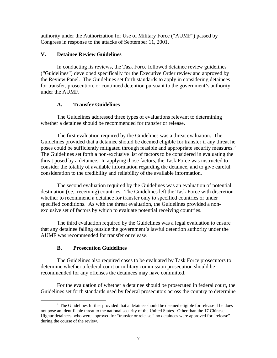<span id="page-10-0"></span>authority under the Authorization for Use of Military Force ("AUMF") passed by Congress in response to the attacks of September 11, 2001.

# **V. Detainee Review Guidelines**

In conducting its reviews, the Task Force followed detainee review guidelines ("Guidelines") developed specifically for the Executive Order review and approved by the Review Panel. The Guidelines set forth standards to apply in considering detainees for transfer, prosecution, or continued detention pursuant to the government's authority under the AUMF.

# **A. Transfer Guidelines**

The Guidelines addressed three types of evaluations relevant to determining whether a detainee should be recommended for transfer or release.

poses could be sufficiently mitigated through feasible and appropriate security measures.<sup>5</sup> The first evaluation required by the Guidelines was a threat evaluation. The Guidelines provided that a detainee should be deemed eligible for transfer if any threat he The Guidelines set forth a non-exclusive list of factors to be considered in evaluating the threat posed by a detainee. In applying those factors, the Task Force was instructed to consider the totality of available information regarding the detainee, and to give careful consideration to the credibility and reliability of the available information.

The second evaluation required by the Guidelines was an evaluation of potential destination (*i.e.,* receiving) countries. The Guidelines left the Task Force with discretion whether to recommend a detainee for transfer only to specified countries or under specified conditions. As with the threat evaluation, the Guidelines provided a nonexclusive set of factors by which to evaluate potential receiving countries.

The third evaluation required by the Guidelines was a legal evaluation to ensure that any detainee falling outside the government's lawful detention authority under the AUMF was recommended for transfer or release.

# **B. Prosecution Guidelines**

The Guidelines also required cases to be evaluated by Task Force prosecutors to determine whether a federal court or military commission prosecution should be recommended for any offenses the detainees may have committed.

For the evaluation of whether a detainee should be prosecuted in federal court, the Guidelines set forth standards used by federal prosecutors across the country to determine

 $\overline{a}$ <sup>5</sup> The Guidelines further provided that a detainee should be deemed eligible for release if he does not pose an identifiable threat to the national security of the United States. Other than the 17 Chinese Uighur detainees, who were approved for "transfer or release," no detainees were approved for "release" during the course of the review.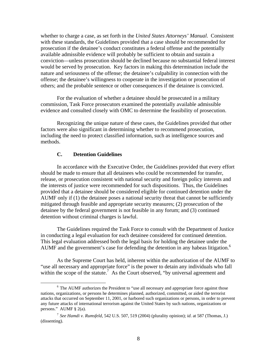<span id="page-11-0"></span>whether to charge a case, as set forth in the *United States Attorneys' Manual*. Consistent with these standards, the Guidelines provided that a case should be recommended for prosecution if the detainee's conduct constitutes a federal offense and the potentially available admissible evidence will probably be sufficient to obtain and sustain a conviction—unless prosecution should be declined because no substantial federal interest would be served by prosecution. Key factors in making this determination include the nature and seriousness of the offense; the detainee's culpability in connection with the offense; the detainee's willingness to cooperate in the investigation or prosecution of others; and the probable sentence or other consequences if the detainee is convicted.

For the evaluation of whether a detainee should be prosecuted in a military commission, Task Force prosecutors examined the potentially available admissible evidence and consulted closely with OMC to determine the feasibility of prosecution.

Recognizing the unique nature of these cases, the Guidelines provided that other factors were also significant in determining whether to recommend prosecution, including the need to protect classified information, such as intelligence sources and methods.

## **C. Detention Guidelines**

 $\overline{a}$ 

In accordance with the Executive Order, the Guidelines provided that every effort should be made to ensure that all detainees who could be recommended for transfer, release, or prosecution consistent with national security and foreign policy interests and the interests of justice were recommended for such dispositions. Thus, the Guidelines provided that a detainee should be considered eligible for continued detention under the AUMF only if (1) the detainee poses a national security threat that cannot be sufficiently mitigated through feasible and appropriate security measures; (2) prosecution of the detainee by the federal government is not feasible in any forum; and (3) continued detention without criminal charges is lawful.

AUMF and the government's case for defending the detention in any habeas litigation.<sup>6</sup> The Guidelines required the Task Force to consult with the Department of Justice in conducting a legal evaluation for each detainee considered for continued detention. This legal evaluation addressed both the legal basis for holding the detainee under the

As the Supreme Court has held, inherent within the authorization of the AUMF to "use all necessary and appropriate force" is the power to detain any individuals who fall within the scope of the statute.<sup>7</sup> As the Court observed, "by universal agreement and

 nations, organizations, or persons he determines planned, authorized, committed, or aided the terrorist attacks that occurred on September 11, 2001, or harbored such organizations or persons, in order to prevent any future attacks of international terrorism against the United States by such nations, organizations or persons." AUMF § 2(a). <sup>6</sup> The AUMF authorizes the President to "use all necessary and appropriate force against those

<sup>7</sup>*See Hamdi v. Rumsfeld*, 542 U.S. 507, 519 (2004) (plurality opinion); *id*. at 587 (Thomas, J.) (dissenting).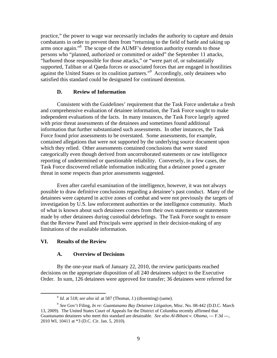<span id="page-12-0"></span>practice," the power to wage war necessarily includes the authority to capture and detain combatants in order to prevent them from "returning to the field of battle and taking up arms once again."<sup>8</sup> The scope of the AUMF's detention authority extends to those persons who "planned, authorized or committed or aided" the September 11 attacks, "harbored those responsible for those attacks," or "were part of, or substantially supported, Taliban or al Qaeda forces or associated forces that are engaged in hostilities against the United States or its coalition partners."<sup>9</sup> Accordingly, only detainees who satisfied this standard could be designated for continued detention.

#### **D. Review of Information**

Consistent with the Guidelines' requirement that the Task Force undertake a fresh and comprehensive evaluation of detainee information, the Task Force sought to make independent evaluations of the facts. In many instances, the Task Force largely agreed with prior threat assessments of the detainees and sometimes found additional information that further substantiated such assessments. In other instances, the Task Force found prior assessments to be overstated. Some assessments, for example, contained allegations that were not supported by the underlying source document upon which they relied. Other assessments contained conclusions that were stated categorically even though derived from uncorroborated statements or raw intelligence reporting of undetermined or questionable reliability. Conversely, in a few cases, the Task Force discovered reliable information indicating that a detainee posed a greater threat in some respects than prior assessments suggested.

Even after careful examination of the intelligence, however, it was not always possible to draw definitive conclusions regarding a detainee's past conduct. Many of the detainees were captured in active zones of combat and were not previously the targets of investigation by U.S. law enforcement authorities or the intelligence community. Much of what is known about such detainees comes from their own statements or statements made by other detainees during custodial debriefings. The Task Force sought to ensure that the Review Panel and Principals were apprised in their decision-making of any limitations of the available information.

## **VI. Results of the Review**

<u>.</u>

#### **A. Overview of Decisions**

By the one-year mark of January 22, 2010, the review participants reached decisions on the appropriate disposition of all 240 detainees subject to the Executive Order. In sum, 126 detainees were approved for transfer; 36 detainees were referred for

<sup>8</sup>*Id.* at 518; *see also id.* at 587 (Thomas, J.) (dissenting) (same).

 2010 WL 10411 at \*3 (D.C. Cir. Jan. 5, 2010). <sup>9</sup>*See* Gov't Filing, *In re: Guantanamo Bay Detainee Litigation*, Misc. No. 08-442 (D.D.C. March 13, 2009). The United States Court of Appeals for the District of Columbia recently affirmed that Guantanamo detainees who meet this standard are detainable. *See also Al-Bihani v. Obama*, --- F.3d ---,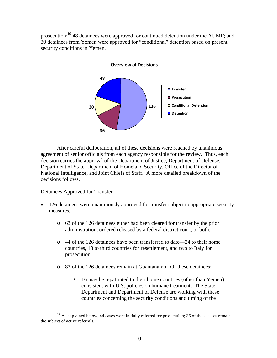prosecution;10 48 detainees were approved for continued detention under the AUMF; and 30 detainees from Yemen were approved for "conditional" detention based on present security conditions in Yemen.

 **Overview of Decisions**



After careful deliberation, all of these decisions were reached by unanimous agreement of senior officials from each agency responsible for the review. Thus, each decision carries the approval of the Department of Justice, Department of Defense, Department of State, Department of Homeland Security, Office of the Director of National Intelligence, and Joint Chiefs of Staff. A more detailed breakdown of the decisions follows.

## Detainees Approved for Transfer

 $\overline{a}$ 

- 126 detainees were unanimously approved for transfer subject to appropriate security measures.
	- o 63 of the 126 detainees either had been cleared for transfer by the prior administration, ordered released by a federal district court, or both.
	- o 44 of the 126 detainees have been transferred to date—24 to their home countries, 18 to third countries for resettlement, and two to Italy for prosecution.
	- o 82 of the 126 detainees remain at Guantanamo. Of these detainees:
		- 16 may be repatriated to their home countries (other than Yemen) consistent with U.S. policies on humane treatment. The State Department and Department of Defense are working with these countries concerning the security conditions and timing of the

 $10$  As explained below, 44 cases were initially referred for prosecution; 36 of those cases remain the subject of active referrals.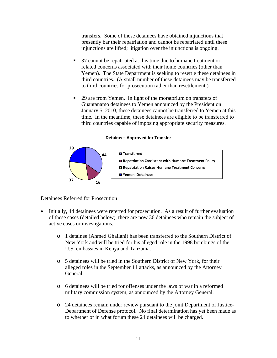transfers. Some of these detainees have obtained injunctions that presently bar their repatriation and cannot be repatriated until these injunctions are lifted; litigation over the injunctions is ongoing.

- <sup>37</sup> cannot be repatriated at this time due to humane treatment or related concerns associated with their home countries (other than Yemen). The State Department is seeking to resettle these detainees in third countries. (A small number of these detainees may be transferred to third countries for prosecution rather than resettlement.)
- 29 are from Yemen. In light of the moratorium on transfers of Guantanamo detainees to Yemen announced by the President on January 5, 2010, these detainees cannot be transferred to Yemen at this time. In the meantime, these detainees are eligible to be transferred to third countries capable of imposing appropriate security measures.

#### **Detainees Approved for Transfer**



#### Detainees Referred for Prosecution

- Initially, 44 detainees were referred for prosecution. As a result of further evaluation of these cases (detailed below), there are now 36 detainees who remain the subject of active cases or investigations.
	- o 1 detainee (Ahmed Ghailani) has been transferred to the Southern District of New York and will be tried for his alleged role in the 1998 bombings of the U.S. embassies in Kenya and Tanzania.
	- o 5 detainees will be tried in the Southern District of New York, for their alleged roles in the September 11 attacks, as announced by the Attorney General.
	- o 6 detainees will be tried for offenses under the laws of war in a reformed military commission system, as announced by the Attorney General.
	- o 24 detainees remain under review pursuant to the joint Department of Justice-Department of Defense protocol. No final determination has yet been made as to whether or in what forum these 24 detainees will be charged.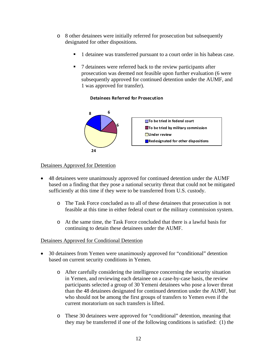- o 8 other detainees were initially referred for prosecution but subsequently designated for other dispositions.
	- 1 detainee was transferred pursuant to a court order in his habeas case.
	- 7 detainees were referred back to the review participants after prosecution was deemed not feasible upon further evaluation (6 were subsequently approved for continued detention under the AUMF, and 1 was approved for transfer).

## **Detainees Referred for Prosecution**



# Detainees Approved for Detention

- 48 detainees were unanimously approved for continued detention under the AUMF based on a finding that they pose a national security threat that could not be mitigated sufficiently at this time if they were to be transferred from U.S. custody.
	- o The Task Force concluded as to all of these detainees that prosecution is not feasible at this time in either federal court or the military commission system.
	- o At the same time, the Task Force concluded that there is a lawful basis for continuing to detain these detainees under the AUMF.

# Detainees Approved for Conditional Detention

- 30 detainees from Yemen were unanimously approved for "conditional" detention based on current security conditions in Yemen.
	- o After carefully considering the intelligence concerning the security situation in Yemen, and reviewing each detainee on a case-by-case basis, the review participants selected a group of 30 Yemeni detainees who pose a lower threat than the 48 detainees designated for continued detention under the AUMF, but who should not be among the first groups of transfers to Yemen even if the current moratorium on such transfers is lifted.
	- o These 30 detainees were approved for "conditional" detention, meaning that they may be transferred if one of the following conditions is satisfied: (1) the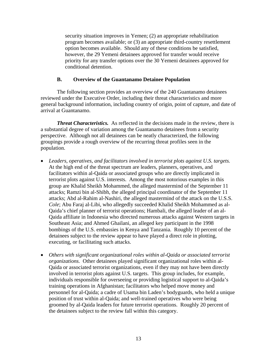<span id="page-16-0"></span>security situation improves in Yemen; (2) an appropriate rehabilitation program becomes available; or (3) an appropriate third-country resettlement option becomes available. Should any of these conditions be satisfied, however, the 29 Yemeni detainees approved for transfer would receive priority for any transfer options over the 30 Yemeni detainees approved for conditional detention.

# **B. Overview of the Guantanamo Detainee Population**

The following section provides an overview of the 240 Guantanamo detainees reviewed under the Executive Order, including their threat characteristics and more general background information, including country of origin, point of capture, and date of arrival at Guantanamo.

*Threat Characteristics.* As reflected in the decisions made in the review, there is a substantial degree of variation among the Guantanamo detainees from a security perspective. Although not all detainees can be neatly characterized, the following groupings provide a rough overview of the recurring threat profiles seen in the population.

- • *Leaders, operatives, and facilitators involved in terrorist plots against U.S. targets.* At the high end of the threat spectrum are leaders, planners, operatives, and facilitators within al-Qaida or associated groups who are directly implicated in terrorist plots against U.S. interests. Among the most notorious examples in this group are Khalid Sheikh Mohammed, the alleged mastermind of the September 11 attacks; Ramzi bin al-Shibh, the alleged principal coordinator of the September 11 attacks; Abd al-Rahim al-Nashiri, the alleged mastermind of the attack on the U.S.S. *Cole*; Abu Faraj al-Libi, who allegedly succeeded Khalid Sheikh Mohammed as al-Qaida's chief planner of terrorist operations; Hambali, the alleged leader of an al-Qaida affiliate in Indonesia who directed numerous attacks against Western targets in Southeast Asia; and Ahmed Ghailani, an alleged key participant in the 1998 bombings of the U.S. embassies in Kenya and Tanzania. Roughly 10 percent of the detainees subject to the review appear to have played a direct role in plotting, executing, or facilitating such attacks.
- • *Others with significant organizational roles within al-Qaida or associated terrorist organizations.* Other detainees played significant organizational roles within al-Qaida or associated terrorist organizations, even if they may not have been directly involved in terrorist plots against U.S. targets. This group includes, for example, individuals responsible for overseeing or providing logistical support to al-Qaida's training operations in Afghanistan; facilitators who helped move money and personnel for al-Qaida; a cadre of Usama bin Laden's bodyguards, who held a unique position of trust within al-Qaida; and well-trained operatives who were being groomed by al-Qaida leaders for future terrorist operations. Roughly 20 percent of the detainees subject to the review fall within this category.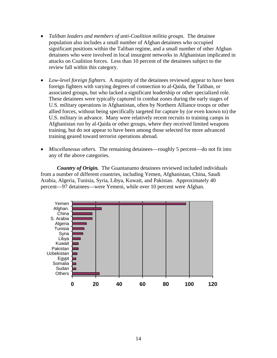- *Taliban leaders and members of anti-Coalition militia groups.* The detainee population also includes a small number of Afghan detainees who occupied significant positions within the Taliban regime, and a small number of other Afghan detainees who were involved in local insurgent networks in Afghanistan implicated in attacks on Coalition forces. Less than 10 percent of the detainees subject to the review fall within this category.
- *Low-level foreign fighters.* A majority of the detainees reviewed appear to have been foreign fighters with varying degrees of connection to al-Qaida, the Taliban, or associated groups, but who lacked a significant leadership or other specialized role. These detainees were typically captured in combat zones during the early stages of U.S. military operations in Afghanistan, often by Northern Alliance troops or other allied forces, without being specifically targeted for capture by (or even known to) the U.S. military in advance. Many were relatively recent recruits to training camps in Afghanistan run by al-Qaida or other groups, where they received limited weapons training, but do not appear to have been among those selected for more advanced training geared toward terrorist operations abroad.
- *Miscellaneous others.* The remaining detainees—roughly 5 percent—do not fit into any of the above categories.

*Country of Origin.* The Guantanamo detainees reviewed included individuals from a number of different countries, including Yemen, Afghanistan, China, Saudi Arabia, Algeria, Tunisia, Syria, Libya, Kuwait, and Pakistan. Approximately 40 percent—97 detainees—were Yemeni, while over 10 percent were Afghan.

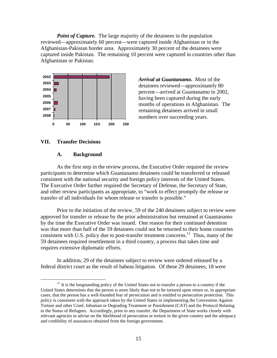*Point of Capture.* The large majority of the detainees in the population reviewed—approximately 60 percent—were captured inside Afghanistan or in the Afghanistan-Pakistan border area. Approximately 30 percent of the detainees were captured inside Pakistan. The remaining 10 percent were captured in countries other than Afghanistan or Pakistan.



*Arrival at Guantanamo***.** Most of the detainees reviewed—approximately 80 percent—arrived at Guantanamo in 2002, having been captured during the early months of operations in Afghanistan. The remaining detainees arrived in small numbers over succeeding years.

#### **VII. Transfer Decisions**

#### **A. Background**

As the first step in the review process, the Executive Order required the review participants to determine which Guantanamo detainees could be transferred or released consistent with the national security and foreign policy interests of the United States. The Executive Order further required the Secretary of Defense, the Secretary of State, and other review participants as appropriate, to "work to effect promptly the release or transfer of all individuals for whom release or transfer is possible."

Prior to the initiation of the review, 59 of the 240 detainees subject to review were approved for transfer or release by the prior administration but remained at Guantanamo by the time the Executive Order was issued. One reason for their continued detention was that more than half of the 59 detainees could not be returned to their home countries consistent with U.S. policy due to post-transfer treatment concerns.<sup>11</sup> Thus, many of the 59 detainees required resettlement in a third country, a process that takes time and requires extensive diplomatic efforts.

In addition, 29 of the detainees subject to review were ordered released by a federal district court as the result of habeas litigation. Of these 29 detainees, 18 were

<sup>&</sup>lt;sup>11</sup> It is the longstanding policy of the United States not to transfer a person to a country if the United States determines that the person is more likely than not to be tortured upon return or, in appropriate cases, that the person has a well-founded fear of persecution and is entitled to persecution protection. This policy is consistent with the approach taken by the United States in implementing the Convention Against Torture and other Cruel, Inhuman or Degrading Treatment or Punishment (CAT) and the Protocol Relating to the Status of Refugees. Accordingly, prior to any transfer, the Department of State works closely with relevant agencies to advise on the likelihood of persecution or torture in the given country and the adequacy and credibility of assurances obtained from the foreign government.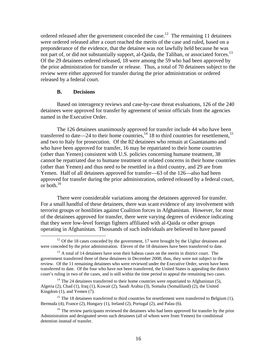<span id="page-19-0"></span>not part of, or did not substantially support, al-Qaida, the Taliban, or associated forces.<sup>13</sup> ordered released after the government conceded the case.<sup>12</sup> The remaining 11 detainees were ordered released after a court reached the merits of the case and ruled, based on a preponderance of the evidence, that the detainee was not lawfully held because he was Of the 29 detainees ordered released, 18 were among the 59 who had been approved by the prior administration for transfer or release. Thus, a total of 70 detainees subject to the review were either approved for transfer during the prior administration or ordered released by a federal court.

#### **B. Decisions**

 $\overline{a}$ 

Based on interagency reviews and case-by-case threat evaluations, 126 of the 240 detainees were approved for transfer by agreement of senior officials from the agencies named in the Executive Order.

The 126 detainees unanimously approved for transfer include 44 who have been transferred to date—24 to their home countries, $^{14}$  18 to third countries for resettlement, $^{15}$ and two to Italy for prosecution. Of the 82 detainees who remain at Guantanamo and who have been approved for transfer, 16 may be repatriated to their home countries (other than Yemen) consistent with U.S. policies concerning humane treatment, 38 cannot be repatriated due to humane treatment or related concerns in their home countries (other than Yemen) and thus need to be resettled in a third country, and 29 are from Yemen. Half of all detainees approved for transfer—63 of the 126—also had been approved for transfer during the prior administration, ordered released by a federal court, or both  $16$ 

There were considerable variations among the detainees approved for transfer. For a small handful of these detainees, there was scant evidence of any involvement with terrorist groups or hostilities against Coalition forces in Afghanistan. However, for most of the detainees approved for transfer, there were varying degrees of evidence indicating that they were low-level foreign fighters affiliated with al-Qaida or other groups operating in Afghanistan. Thousands of such individuals are believed to have passed

 $12$  Of the 18 cases conceded by the government, 17 were brought by the Uighur detainees and were conceded by the prior administration. Eleven of the 18 detainees have been transferred to date.

<sup>&</sup>lt;sup>13</sup> A total of 14 detainees have won their habeas cases on the merits in district court. The government transferred three of these detainees in December 2008; thus, they were not subject to the review. Of the 11 remaining detainees who were reviewed under the Executive Order, seven have been transferred to date. Of the four who have not been transferred, the United States is appealing the district court's ruling in two of the cases, and is still within the time period to appeal the remaining two cases.

 $14$  The 24 detainees transferred to their home countries were repatriated to Afghanistan (5), Algeria (2), Chad (1), Iraq (1), Kuwait (2), Saudi Arabia (3), Somalia (Somaliland) (2), the United Kingdom (1), and Yemen (7).

 Bermuda (4), France (2), Hungary (1), Ireland (2), Portugal (2), and Palau (6). <sup>15</sup> The 18 detainees transferred to third countries for resettlement were transferred to Belgium  $(1)$ ,

<sup>&</sup>lt;sup>16</sup> The review participants reviewed the detainees who had been approved for transfer by the prior Administration and designated seven such detainees (all of whom were from Yemen) for conditional detention instead of transfer.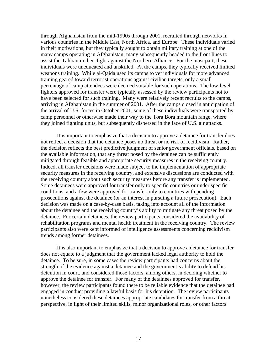through Afghanistan from the mid-1990s through 2001, recruited through networks in various countries in the Middle East, North Africa, and Europe. These individuals varied in their motivations, but they typically sought to obtain military training at one of the many camps operating in Afghanistan; many subsequently headed to the front lines to assist the Taliban in their fight against the Northern Alliance. For the most part, these individuals were uneducated and unskilled. At the camps, they typically received limited weapons training. While al-Qaida used its camps to vet individuals for more advanced training geared toward terrorist operations against civilian targets, only a small percentage of camp attendees were deemed suitable for such operations. The low-level fighters approved for transfer were typically assessed by the review participants not to have been selected for such training. Many were relatively recent recruits to the camps, arriving in Afghanistan in the summer of 2001. After the camps closed in anticipation of the arrival of U.S. forces in October 2001, some of these individuals were transported by camp personnel or otherwise made their way to the Tora Bora mountain range, where they joined fighting units, but subsequently dispersed in the face of U.S. air attacks.

It is important to emphasize that a decision to approve a detainee for transfer does not reflect a decision that the detainee poses no threat or no risk of recidivism. Rather, the decision reflects the best predictive judgment of senior government officials, based on the available information, that any threat posed by the detainee can be sufficiently mitigated through feasible and appropriate security measures in the receiving country. Indeed, all transfer decisions were made subject to the implementation of appropriate security measures in the receiving country, and extensive discussions are conducted with the receiving country about such security measures before any transfer is implemented. Some detainees were approved for transfer only to specific countries or under specific conditions, and a few were approved for transfer only to countries with pending prosecutions against the detainee (or an interest in pursuing a future prosecution). Each decision was made on a case-by-case basis, taking into account all of the information about the detainee and the receiving country's ability to mitigate any threat posed by the detainee. For certain detainees, the review participants considered the availability of rehabilitation programs and mental health treatment in the receiving country. The review participants also were kept informed of intelligence assessments concerning recidivism trends among former detainees.

It is also important to emphasize that a decision to approve a detainee for transfer does not equate to a judgment that the government lacked legal authority to hold the detainee. To be sure, in some cases the review participants had concerns about the strength of the evidence against a detainee and the government's ability to defend his detention in court, and considered those factors, among others, in deciding whether to approve the detainee for transfer. For many of the detainees approved for transfer, however, the review participants found there to be reliable evidence that the detainee had engaged in conduct providing a lawful basis for his detention. The review participants nonetheless considered these detainees appropriate candidates for transfer from a threat perspective, in light of their limited skills, minor organizational roles, or other factors.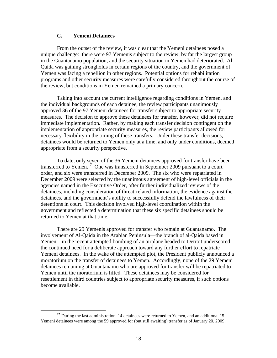## **C. Yemeni Detainees**

<span id="page-21-0"></span>From the outset of the review, it was clear that the Yemeni detainees posed a unique challenge: there were 97 Yemenis subject to the review, by far the largest group in the Guantanamo population, and the security situation in Yemen had deteriorated. Al-Qaida was gaining strongholds in certain regions of the country, and the government of Yemen was facing a rebellion in other regions. Potential options for rehabilitation programs and other security measures were carefully considered throughout the course of the review, but conditions in Yemen remained a primary concern.

Taking into account the current intelligence regarding conditions in Yemen, and the individual backgrounds of each detainee, the review participants unanimously approved 36 of the 97 Yemeni detainees for transfer subject to appropriate security measures. The decision to approve these detainees for transfer, however, did not require immediate implementation. Rather, by making each transfer decision contingent on the implementation of appropriate security measures, the review participants allowed for necessary flexibility in the timing of these transfers. Under these transfer decisions, detainees would be returned to Yemen only at a time, and only under conditions, deemed appropriate from a security perspective.

To date, only seven of the 36 Yemeni detainees approved for transfer have been transferred to Yemen.17 One was transferred in September 2009 pursuant to a court order, and six were transferred in December 2009. The six who were repatriated in December 2009 were selected by the unanimous agreement of high-level officials in the agencies named in the Executive Order, after further individualized reviews of the detainees, including consideration of threat-related information, the evidence against the detainees, and the government's ability to successfully defend the lawfulness of their detentions in court. This decision involved high-level coordination within the government and reflected a determination that these six specific detainees should be returned to Yemen at that time.

There are 29 Yemenis approved for transfer who remain at Guantanamo. The involvement of Al-Qaida in the Arabian Peninsula—the branch of al-Qaida based in Yemen—in the recent attempted bombing of an airplane headed to Detroit underscored the continued need for a deliberate approach toward any further effort to repatriate Yemeni detainees. In the wake of the attempted plot, the President publicly announced a moratorium on the transfer of detainees to Yemen. Accordingly, none of the 29 Yemeni detainees remaining at Guantanamo who are approved for transfer will be repatriated to Yemen until the moratorium is lifted. These detainees may be considered for resettlement in third countries subject to appropriate security measures, if such options become available.

 $\overline{a}$ 

 $17$  During the last administration, 14 detainees were returned to Yemen, and an additional 15 Yemeni detainees were among the 59 approved for (but still awaiting) transfer as of January 20, 2009.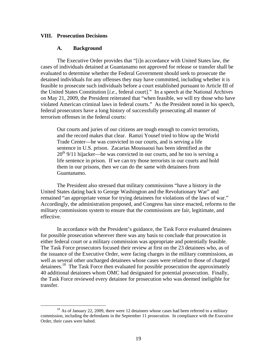#### <span id="page-22-0"></span>**VIII. Prosecution Decisions**

<u>.</u>

#### **A. Background**

The Executive Order provides that "[i]n accordance with United States law, the cases of individuals detained at Guantanamo not approved for release or transfer shall be evaluated to determine whether the Federal Government should seek to prosecute the detained individuals for any offenses they may have committed, including whether it is feasible to prosecute such individuals before a court established pursuant to Article III of the United States Constitution [*i.e.*, federal court]." In a speech at the National Archives on May 21, 2009, the President reiterated that "when feasible, we will try those who have violated American criminal laws in federal courts." As the President noted in his speech, federal prosecutors have a long history of successfully prosecuting all manner of terrorism offenses in the federal courts:

Our courts and juries of our citizens are tough enough to convict terrorists, and the record makes that clear. Ramzi Yousef tried to blow up the World Trade Center—he was convicted in our courts, and is serving a life sentence in U.S. prison. Zacarias Moussaoui has been identified as the  $20<sup>th</sup>$  9/11 hijacker—he was convicted in our courts, and he too is serving a life sentence in prison. If we can try those terrorists in our courts and hold them in our prisons, then we can do the same with detainees from Guantanamo.

The President also stressed that military commissions "have a history in the United States dating back to George Washington and the Revolutionary War" and remained "an appropriate venue for trying detainees for violations of the laws of war." Accordingly, the administration proposed, and Congress has since enacted, reforms to the military commissions system to ensure that the commissions are fair, legitimate, and effective.

In accordance with the President's guidance, the Task Force evaluated detainees for possible prosecution wherever there was any basis to conclude that prosecution in either federal court or a military commission was appropriate and potentially feasible. The Task Force prosecutors focused their review at first on the 23 detainees who, as of the issuance of the Executive Order, were facing charges in the military commissions, as well as several other uncharged detainees whose cases were related to those of charged detainees.<sup>18</sup> The Task Force then evaluated for possible prosecution the approximately 40 additional detainees whom OMC had designated for potential prosecution. Finally, the Task Force reviewed every detainee for prosecution who was deemed ineligible for transfer.

 commission, including the defendants in the September 11 prosecution. In compliance with the Executive  $18$  As of January 22, 2009, there were 12 detainees whose cases had been referred to a military Order, their cases were halted.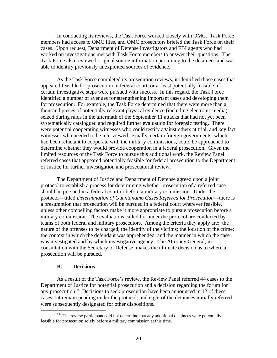<span id="page-23-0"></span>In conducting its reviews, the Task Force worked closely with OMC. Task Force members had access to OMC files, and OMC prosecutors briefed the Task Force on their cases. Upon request, Department of Defense investigators and FBI agents who had worked on investigations met with Task Force members to answer their questions. The Task Force also reviewed original source information pertaining to the detainees and was able to identify previously unexploited sources of evidence.

As the Task Force completed its prosecution reviews, it identified those cases that appeared feasible for prosecution in federal court, or at least potentially feasible, if certain investigative steps were pursued with success. In this regard, the Task Force identified a number of avenues for strengthening important cases and developing them for prosecution. For example, the Task Force determined that there were more than a thousand pieces of potentially relevant physical evidence (including electronic media) seized during raids in the aftermath of the September 11 attacks that had not yet been systematically catalogued and required further evaluation for forensic testing. There were potential cooperating witnesses who could testify against others at trial, and key fact witnesses who needed to be interviewed. Finally, certain foreign governments, which had been reluctant to cooperate with the military commissions, could be approached to determine whether they would provide cooperation in a federal prosecution. Given the limited resources of the Task Force to pursue this additional work, the Review Panel referred cases that appeared potentially feasible for federal prosecution to the Department of Justice for further investigation and prosecutorial review.

The Department of Justice and Department of Defense agreed upon a joint protocol to establish a process for determining whether prosecution of a referred case should be pursued in a federal court or before a military commission. Under the protocol—titled *Determination of Guantanamo Cases Referred for Prosecution*—there is a presumption that prosecution will be pursued in a federal court wherever feasible, unless other compelling factors make it more appropriate to pursue prosecution before a military commission. The evaluations called for under the protocol are conducted by teams of both federal and military prosecutors. Among the criteria they apply are: the nature of the offenses to be charged; the identity of the victims; the location of the crime; the context in which the defendant was apprehended; and the manner in which the case was investigated and by which investigative agency. The Attorney General, in consultation with the Secretary of Defense, makes the ultimate decision as to where a prosecution will be pursued.

#### **B. Decisions**

1

As a result of the Task Force's review, the Review Panel referred 44 cases to the Department of Justice for potential prosecution and a decision regarding the forum for any prosecution.<sup>19</sup> Decisions to seek prosecution have been announced in 12 of these cases; 24 remain pending under the protocol; and eight of the detainees initially referred were subsequently designated for other dispositions.

 $19$  The review participants did not determine that any additional detainees were potentially feasible for prosecution solely before a military commission at this time.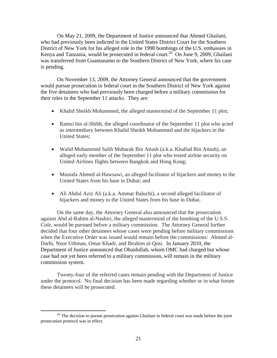On May 21, 2009, the Department of Justice announced that Ahmed Ghailani, who had previously been indicted in the United States District Court for the Southern District of New York for his alleged role in the 1998 bombings of the U.S. embassies in Kenya and Tanzania, would be prosecuted in federal court.<sup>20</sup> On June 9, 2009, Ghailani was transferred from Guantanamo to the Southern District of New York, where his case is pending.

On November 13, 2009, the Attorney General announced that the government would pursue prosecution in federal court in the Southern District of New York against the five detainees who had previously been charged before a military commission for their roles in the September 11 attacks. They are:

- Khalid Sheikh Mohammed, the alleged mastermind of the September 11 plot;
- Ramzi bin al-Shibh, the alleged coordinator of the September 11 plot who acted as intermediary between Khalid Sheikh Mohammed and the hijackers in the United States;
- Walid Muhammed Salih Mubarak Bin Attash (a.k.a. Khallad Bin Attash), an alleged early member of the September 11 plot who tested airline security on United Airlines flights between Bangkok and Hong Kong;
- Mustafa Ahmed al-Hawsawi, an alleged facilitator of hijackers and money to the United States from his base in Dubai; and
- Ali Abdul Aziz Ali (a.k.a. Ammar Baluchi), a second alleged facilitator of hijackers and money to the United States from his base in Dubai.

On the same day, the Attorney General also announced that the prosecution against Abd al-Rahim al-Nashiri, the alleged mastermind of the bombing of the U.S.S. *Cole*, would be pursued before a military commission. The Attorney General further decided that four other detainees whose cases were pending before military commissions when the Executive Order was issued would remain before the commissions: Ahmed al-Darbi, Noor Uthman, Omar Khadr, and Ibrahim al-Qosi. In January 2010, the Department of Justice announced that Obaidullah, whom OMC had charged but whose case had not yet been referred to a military commission, will remain in the military commission system.

Twenty-four of the referred cases remain pending with the Department of Justice under the protocol. No final decision has been made regarding whether or in what forum these detainees will be prosecuted.

 $\overline{a}$ 

<sup>&</sup>lt;sup>20</sup> The decision to pursue prosecution against Ghailani in federal court was made before the joint prosecution protocol was in effect.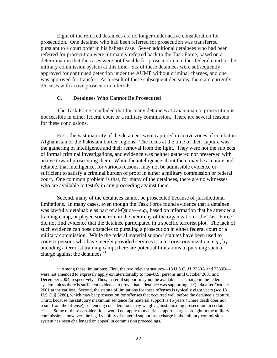<span id="page-25-0"></span>Eight of the referred detainees are no longer under active consideration for prosecution. One detainee who had been referred for prosecution was transferred pursuant to a court order in his habeas case. Seven additional detainees who had been referred for prosecution were ultimately referred back to the Task Force, based on a determination that the cases were not feasible for prosecution in either federal court or the military commission system at this time. Six of these detainees were subsequently approved for continued detention under the AUMF without criminal charges, and one was approved for transfer. As a result of these subsequent decisions, there are currently 36 cases with active prosecution referrals.

## **C. Detainees Who Cannot Be Prosecuted**

 $\overline{a}$ 

The Task Force concluded that for many detainees at Guantanamo, prosecution is not feasible in either federal court or a military commission. There are several reasons for these conclusions.

First, the vast majority of the detainees were captured in active zones of combat in Afghanistan or the Pakistani border regions. The focus at the time of their capture was the gathering of intelligence and their removal from the fight. They were not the subjects of formal criminal investigations, and evidence was neither gathered nor preserved with an eye toward prosecuting them. While the intelligence about them may be accurate and reliable, that intelligence, for various reasons, may not be admissible evidence or sufficient to satisfy a criminal burden of proof in either a military commission or federal court. One common problem is that, for many of the detainees, there are no witnesses who are available to testify in any proceeding against them.

Second, many of the detainees cannot be prosecuted because of jurisdictional limitations. In many cases, even though the Task Force found evidence that a detainee was lawfully detainable as part of al-Qaida—*e.g.*, based on information that he attended a training camp, or played some role in the hierarchy of the organization—the Task Force did not find evidence that the detainee participated in a specific terrorist plot. The lack of such evidence can pose obstacles to pursuing a prosecution in either federal court or a military commission. While the federal material support statutes have been used to convict persons who have merely provided services to a terrorist organization, *e.g.*, by attending a terrorist training camp, there are potential limitations to pursuing such a charge against the detainees. $^{21}$ 

U.S.C. § 3286), which may bar prosecution for offenses that occurred well before the detainee's capture. result from the offense), sentencing considerations may weigh against pursuing prosecution in certain <sup>21</sup> Among these limitations: First, the two relevant statutes—18 U.S.C. §§ 2339A and 2339B were not amended to expressly apply extraterritorially to non-U.S. persons until October 2001 and December 2004, respectively. Thus, material support may not be available as a charge in the federal system unless there is sufficient evidence to prove that a detainee was supporting al-Qaida after October 2001 at the earliest. Second, the statute of limitations for these offenses is typically eight years (*see* 18 Third, because the statutory maximum sentence for material support is 15 years (where death does not cases. Some of these considerations would not apply to material support charges brought in the military commissions; however, the legal viability of material support as a charge in the military commission system has been challenged on appeal in commission proceedings.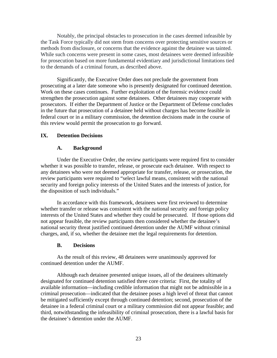<span id="page-26-0"></span>Notably, the principal obstacles to prosecution in the cases deemed infeasible by the Task Force typically did not stem from concerns over protecting sensitive sources or methods from disclosure, or concerns that the evidence against the detainee was tainted. While such concerns were present in some cases, most detainees were deemed infeasible for prosecution based on more fundamental evidentiary and jurisdictional limitations tied to the demands of a criminal forum, as described above.

Significantly, the Executive Order does not preclude the government from prosecuting at a later date someone who is presently designated for continued detention. Work on these cases continues. Further exploitation of the forensic evidence could strengthen the prosecution against some detainees. Other detainees may cooperate with prosecutors. If either the Department of Justice or the Department of Defense concludes in the future that prosecution of a detainee held without charges has become feasible in federal court or in a military commission, the detention decisions made in the course of this review would permit the prosecution to go forward.

# **IX. Detention Decisions**

## **A. Background**

Under the Executive Order, the review participants were required first to consider whether it was possible to transfer, release, or prosecute each detainee. With respect to any detainees who were not deemed appropriate for transfer, release, or prosecution, the review participants were required to "select lawful means, consistent with the national security and foreign policy interests of the United States and the interests of justice, for the disposition of such individuals."

In accordance with this framework, detainees were first reviewed to determine whether transfer or release was consistent with the national security and foreign policy interests of the United States and whether they could be prosecuted. If those options did not appear feasible, the review participants then considered whether the detainee's national security threat justified continued detention under the AUMF without criminal charges, and, if so, whether the detainee met the legal requirements for detention.

#### **B. Decisions**

As the result of this review, 48 detainees were unanimously approved for continued detention under the AUMF.

Although each detainee presented unique issues, all of the detainees ultimately designated for continued detention satisfied three core criteria: First, the totality of available information—including credible information that might not be admissible in a criminal prosecution—indicated that the detainee poses a high level of threat that cannot be mitigated sufficiently except through continued detention; second, prosecution of the detainee in a federal criminal court or a military commission did not appear feasible; and third, notwithstanding the infeasibility of criminal prosecution, there is a lawful basis for the detainee's detention under the AUMF.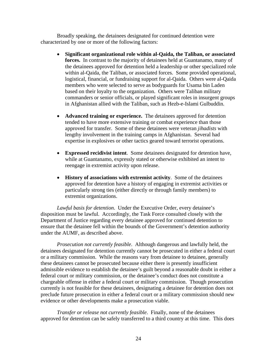Broadly speaking, the detainees designated for continued detention were characterized by one or more of the following factors:

- • **Significant organizational role within al-Qaida, the Taliban, or associated forces.** In contrast to the majority of detainees held at Guantanamo, many of the detainees approved for detention held a leadership or other specialized role within al-Qaida, the Taliban, or associated forces. Some provided operational, logistical, financial, or fundraising support for al-Qaida. Others were al-Qaida members who were selected to serve as bodyguards for Usama bin Laden based on their loyalty to the organization. Others were Taliban military commanders or senior officials, or played significant roles in insurgent groups in Afghanistan allied with the Taliban, such as Hezb-e-Islami Gulbuddin.
- **Advanced training or experience.** The detainees approved for detention tended to have more extensive training or combat experience than those approved for transfer. Some of these detainees were veteran *jihadists* with lengthy involvement in the training camps in Afghanistan. Several had expertise in explosives or other tactics geared toward terrorist operations.
- • **Expressed recidivist intent**. Some detainees designated for detention have, while at Guantanamo, expressly stated or otherwise exhibited an intent to reengage in extremist activity upon release.
- • **History of associations with extremist activity**. Some of the detainees approved for detention have a history of engaging in extremist activities or particularly strong ties (either directly or through family members) to extremist organizations.

*Lawful basis for detention*. Under the Executive Order, every detainee's disposition must be lawful. Accordingly, the Task Force consulted closely with the Department of Justice regarding every detainee approved for continued detention to ensure that the detainee fell within the bounds of the Government's detention authority under the AUMF, as described above.

*Prosecution not currently feasible*. Although dangerous and lawfully held, the detainees designated for detention currently cannot be prosecuted in either a federal court or a military commission. While the reasons vary from detainee to detainee, generally these detainees cannot be prosecuted because either there is presently insufficient admissible evidence to establish the detainee's guilt beyond a reasonable doubt in either a federal court or military commission, or the detainee's conduct does not constitute a chargeable offense in either a federal court or military commission. Though prosecution currently is not feasible for these detainees, designating a detainee for detention does not preclude future prosecution in either a federal court or a military commission should new evidence or other developments make a prosecution viable.

*Transfer or release not currently feasible*. Finally, none of the detainees approved for detention can be safely transferred to a third country at this time. This does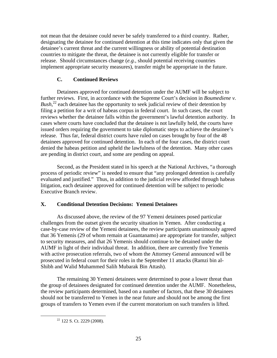<span id="page-28-0"></span>not mean that the detainee could never be safely transferred to a third country. Rather, designating the detainee for continued detention at this time indicates only that given the detainee's current threat and the current willingness or ability of potential destination countries to mitigate the threat, the detainee is not currently eligible for transfer or release. Should circumstances change (*e.g.*, should potential receiving countries implement appropriate security measures), transfer might be appropriate in the future.

# **C. Continued Reviews**

Detainees approved for continued detention under the AUMF will be subject to further reviews. First, in accordance with the Supreme Court's decision in *Boumediene v. Bush*, 22 each detainee has the opportunity to seek judicial review of their detention by filing a petition for a writ of habeas corpus in federal court. In such cases, the court reviews whether the detainee falls within the government's lawful detention authority. In cases where courts have concluded that the detainee is not lawfully held, the courts have issued orders requiring the government to take diplomatic steps to achieve the detainee's release. Thus far, federal district courts have ruled on cases brought by four of the 48 detainees approved for continued detention. In each of the four cases, the district court denied the habeas petition and upheld the lawfulness of the detention. Many other cases are pending in district court, and some are pending on appeal.

Second, as the President stated in his speech at the National Archives, "a thorough process of periodic review" is needed to ensure that "any prolonged detention is carefully evaluated and justified." Thus, in addition to the judicial review afforded through habeas litigation, each detainee approved for continued detention will be subject to periodic Executive Branch review.

# **X. Conditional Detention Decisions: Yemeni Detainees**

As discussed above, the review of the 97 Yemeni detainees posed particular challenges from the outset given the security situation in Yemen. After conducting a case-by-case review of the Yemeni detainees, the review participants unanimously agreed that 36 Yemenis (29 of whom remain at Guantanamo) are appropriate for transfer, subject to security measures, and that 26 Yemenis should continue to be detained under the AUMF in light of their individual threat. In addition, there are currently five Yemenis with active prosecution referrals, two of whom the Attorney General announced will be prosecuted in federal court for their roles in the September 11 attacks (Ramzi bin al-Shibh and Walid Muhammed Salih Mubarak Bin Attash).

The remaining 30 Yemeni detainees were determined to pose a lower threat than the group of detainees designated for continued detention under the AUMF. Nonetheless, the review participants determined, based on a number of factors, that these 30 detainees should not be transferred to Yemen in the near future and should not be among the first groups of transfers to Yemen even if the current moratorium on such transfers is lifted.

 $\overline{a}$ 

<sup>&</sup>lt;sup>22</sup> 122 S. Ct. 2229 (2008).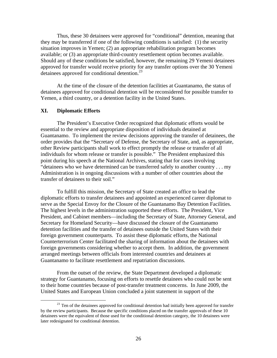<span id="page-29-0"></span>detainees approved for conditional detention.<sup>23</sup> Thus, these 30 detainees were approved for "conditional" detention, meaning that they may be transferred if one of the following conditions is satisfied: (1) the security situation improves in Yemen; (2) an appropriate rehabilitation program becomes available; or (3) an appropriate third-country resettlement option becomes available. Should any of these conditions be satisfied, however, the remaining 29 Yemeni detainees approved for transfer would receive priority for any transfer options over the 30 Yemeni

At the time of the closure of the detention facilities at Guantanamo, the status of detainees approved for conditional detention will be reconsidered for possible transfer to Yemen, a third country, or a detention facility in the United States.

#### **XI. Diplomatic Efforts**

1

The President's Executive Order recognized that diplomatic efforts would be essential to the review and appropriate disposition of individuals detained at Guantanamo. To implement the review decisions approving the transfer of detainees, the order provides that the "Secretary of Defense, the Secretary of State, and, as appropriate, other Review participants shall work to effect promptly the release or transfer of all individuals for whom release or transfer is possible." The President emphasized this point during his speech at the National Archives, stating that for cases involving "detainees who we have determined can be transferred safely to another country . . . my Administration is in ongoing discussions with a number of other countries about the transfer of detainees to their soil."

To fulfill this mission, the Secretary of State created an office to lead the diplomatic efforts to transfer detainees and appointed an experienced career diplomat to serve as the Special Envoy for the Closure of the Guantanamo Bay Detention Facilities. The highest levels in the administration supported these efforts. The President, Vice President, and Cabinet members—including the Secretary of State, Attorney General, and Secretary for Homeland Security—have discussed the closure of the Guantanamo detention facilities and the transfer of detainees outside the United States with their foreign government counterparts. To assist these diplomatic efforts, the National Counterterrorism Center facilitated the sharing of information about the detainees with foreign governments considering whether to accept them. In addition, the government arranged meetings between officials from interested countries and detainees at Guantanamo to facilitate resettlement and repatriation discussions.

From the outset of the review, the State Department developed a diplomatic strategy for Guantanamo, focusing on efforts to resettle detainees who could not be sent to their home countries because of post-transfer treatment concerns. In June 2009, the United States and European Union concluded a joint statement in support of the

later redesignated for conditional detention.<br>
26 <sup>23</sup> Ten of the detainees approved for conditional detention had initially been approved for transfer by the review participants. Because the specific conditions placed on the transfer approvals of these 10 detainees were the equivalent of those used for the conditional detention category, the 10 detainees were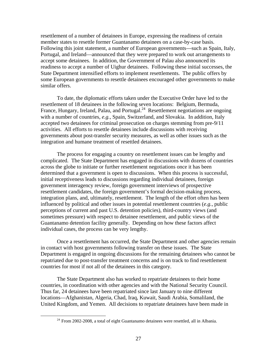resettlement of a number of detainees in Europe, expressing the readiness of certain member states to resettle former Guantanamo detainees on a case-by-case basis. Following this joint statement, a number of European governments—such as Spain, Italy, Portugal, and Ireland—announced that they were prepared to work out arrangements to accept some detainees. In addition, the Government of Palau also announced its readiness to accept a number of Uighur detainees. Following these initial successes, the State Department intensified efforts to implement resettlements. The public offers by some European governments to resettle detainees encouraged other governments to make similar offers.

To date, the diplomatic efforts taken under the Executive Order have led to the resettlement of 18 detainees in the following seven locations: Belgium, Bermuda, France, Hungary, Ireland, Palau, and Portugal.<sup>24</sup> Resettlement negotiations are ongoing with a number of countries, *e.g.*, Spain, Switzerland, and Slovakia. In addition, Italy accepted two detainees for criminal prosecution on charges stemming from pre-9/11 activities. All efforts to resettle detainees include discussions with receiving governments about post-transfer security measures, as well as other issues such as the integration and humane treatment of resettled detainees.

The process for engaging a country on resettlement issues can be lengthy and complicated. The State Department has engaged in discussions with dozens of countries across the globe to initiate or further resettlement negotiations once it has been determined that a government is open to discussions. When this process is successful, initial receptiveness leads to discussions regarding individual detainees, foreign government interagency review, foreign government interviews of prospective resettlement candidates, the foreign government's formal decision-making process, integration plans, and, ultimately, resettlement. The length of the effort often has been influenced by political and other issues in potential resettlement countries (*e.g.*, public perceptions of current and past U.S. detention policies), third-country views (and sometimes pressure) with respect to detainee resettlement, and public views of the Guantanamo detention facility generally. Depending on how these factors affect individual cases, the process can be very lengthy.

Once a resettlement has occurred, the State Department and other agencies remain in contact with host governments following transfer on these issues. The State Department is engaged in ongoing discussions for the remaining detainees who cannot be repatriated due to post-transfer treatment concerns and is on track to find resettlement countries for most if not all of the detainees in this category.

The State Department also has worked to repatriate detainees to their home countries, in coordination with other agencies and with the National Security Council. Thus far, 24 detainees have been repatriated since last January to nine different locations—Afghanistan, Algeria, Chad, Iraq, Kuwait, Saudi Arabia, Somaliland, the United Kingdom, and Yemen. All decisions to repatriate detainees have been made in

1

 $24$  From 2002-2008, a total of eight Guantanamo detainees were resettled, all in Albania.